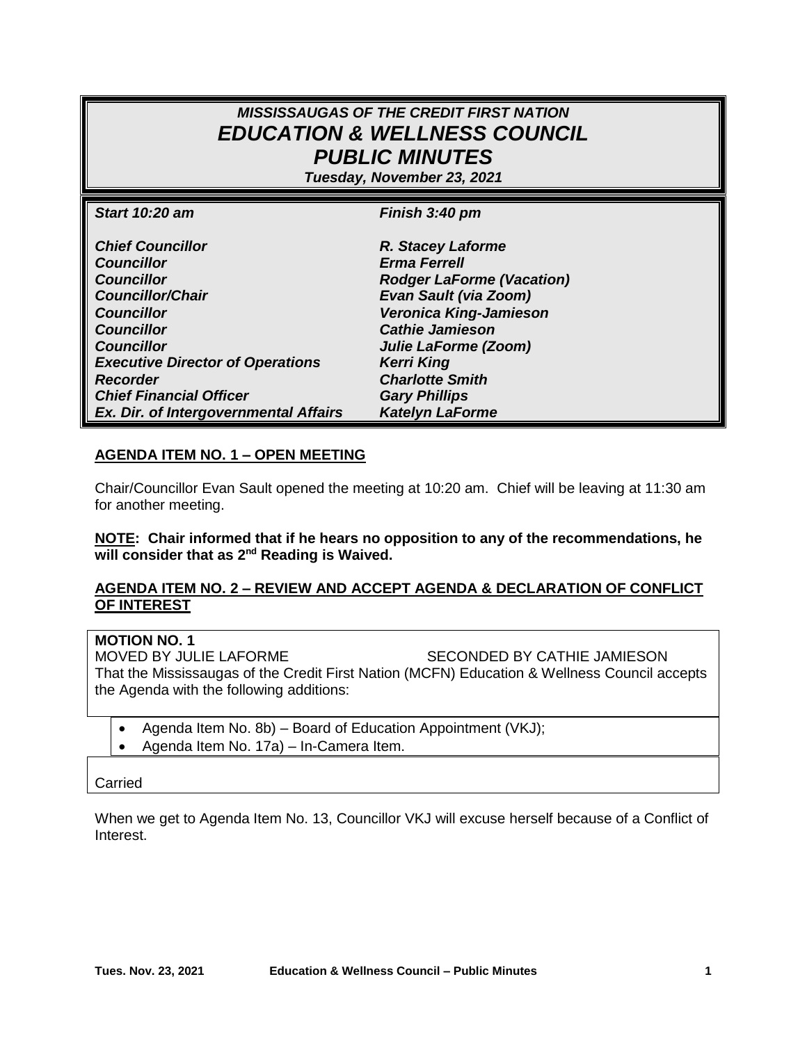# *MISSISSAUGAS OF THE CREDIT FIRST NATION EDUCATION & WELLNESS COUNCIL PUBLIC MINUTES*

*Tuesday, November 23, 2021*

| <b>Start 10:20 am</b>                   | Finish 3:40 pm                   |
|-----------------------------------------|----------------------------------|
| <b>Chief Councillor</b>                 | R. Stacey Laforme                |
| <b>Councillor</b>                       | <b>Erma Ferrell</b>              |
| <b>Councillor</b>                       | <b>Rodger LaForme (Vacation)</b> |
| <b>Councillor/Chair</b>                 | <b>Evan Sault (via Zoom)</b>     |
| <b>Councillor</b>                       | <b>Veronica King-Jamieson</b>    |
| <b>Councillor</b>                       | <b>Cathie Jamieson</b>           |
| <b>Councillor</b>                       | Julie LaForme (Zoom)             |
| <b>Executive Director of Operations</b> | <b>Kerri King</b>                |
| <b>Recorder</b>                         | <b>Charlotte Smith</b>           |
| <b>Chief Financial Officer</b>          | <b>Gary Phillips</b>             |
| Ex. Dir. of Intergovernmental Affairs   | <b>Katelyn LaForme</b>           |

#### **AGENDA ITEM NO. 1 – OPEN MEETING**

Chair/Councillor Evan Sault opened the meeting at 10:20 am. Chief will be leaving at 11:30 am for another meeting.

**NOTE: Chair informed that if he hears no opposition to any of the recommendations, he will consider that as 2 nd Reading is Waived.**

#### **AGENDA ITEM NO. 2 – REVIEW AND ACCEPT AGENDA & DECLARATION OF CONFLICT OF INTEREST**

## **MOTION NO. 1**

MOVED BY JULIE LAFORME SECONDED BY CATHIE JAMIESON That the Mississaugas of the Credit First Nation (MCFN) Education & Wellness Council accepts the Agenda with the following additions:

- Agenda Item No. 8b) Board of Education Appointment (VKJ);
- Agenda Item No. 17a) In-Camera Item.

#### Carried

When we get to Agenda Item No. 13, Councillor VKJ will excuse herself because of a Conflict of Interest.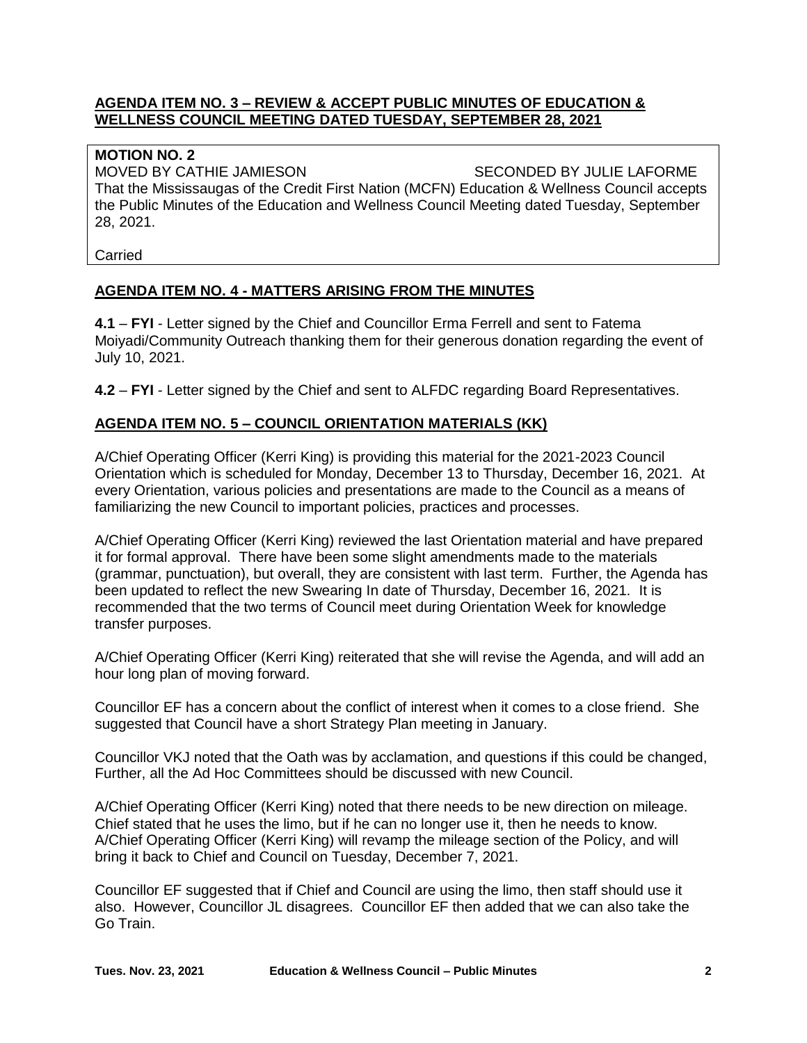#### **AGENDA ITEM NO. 3 – REVIEW & ACCEPT PUBLIC MINUTES OF EDUCATION & WELLNESS COUNCIL MEETING DATED TUESDAY, SEPTEMBER 28, 2021**

#### **MOTION NO. 2**

MOVED BY CATHIE JAMIESON SECONDED BY JULIE LAFORME That the Mississaugas of the Credit First Nation (MCFN) Education & Wellness Council accepts the Public Minutes of the Education and Wellness Council Meeting dated Tuesday, September 28, 2021.

Carried

## **AGENDA ITEM NO. 4 - MATTERS ARISING FROM THE MINUTES**

**4.1** – **FYI** - Letter signed by the Chief and Councillor Erma Ferrell and sent to Fatema Moiyadi/Community Outreach thanking them for their generous donation regarding the event of July 10, 2021.

**4.2** – **FYI** - Letter signed by the Chief and sent to ALFDC regarding Board Representatives.

## **AGENDA ITEM NO. 5 – COUNCIL ORIENTATION MATERIALS (KK)**

A/Chief Operating Officer (Kerri King) is providing this material for the 2021-2023 Council Orientation which is scheduled for Monday, December 13 to Thursday, December 16, 2021. At every Orientation, various policies and presentations are made to the Council as a means of familiarizing the new Council to important policies, practices and processes.

A/Chief Operating Officer (Kerri King) reviewed the last Orientation material and have prepared it for formal approval. There have been some slight amendments made to the materials (grammar, punctuation), but overall, they are consistent with last term. Further, the Agenda has been updated to reflect the new Swearing In date of Thursday, December 16, 2021. It is recommended that the two terms of Council meet during Orientation Week for knowledge transfer purposes.

A/Chief Operating Officer (Kerri King) reiterated that she will revise the Agenda, and will add an hour long plan of moving forward.

Councillor EF has a concern about the conflict of interest when it comes to a close friend. She suggested that Council have a short Strategy Plan meeting in January.

Councillor VKJ noted that the Oath was by acclamation, and questions if this could be changed, Further, all the Ad Hoc Committees should be discussed with new Council.

A/Chief Operating Officer (Kerri King) noted that there needs to be new direction on mileage. Chief stated that he uses the limo, but if he can no longer use it, then he needs to know. A/Chief Operating Officer (Kerri King) will revamp the mileage section of the Policy, and will bring it back to Chief and Council on Tuesday, December 7, 2021.

Councillor EF suggested that if Chief and Council are using the limo, then staff should use it also. However, Councillor JL disagrees. Councillor EF then added that we can also take the Go Train.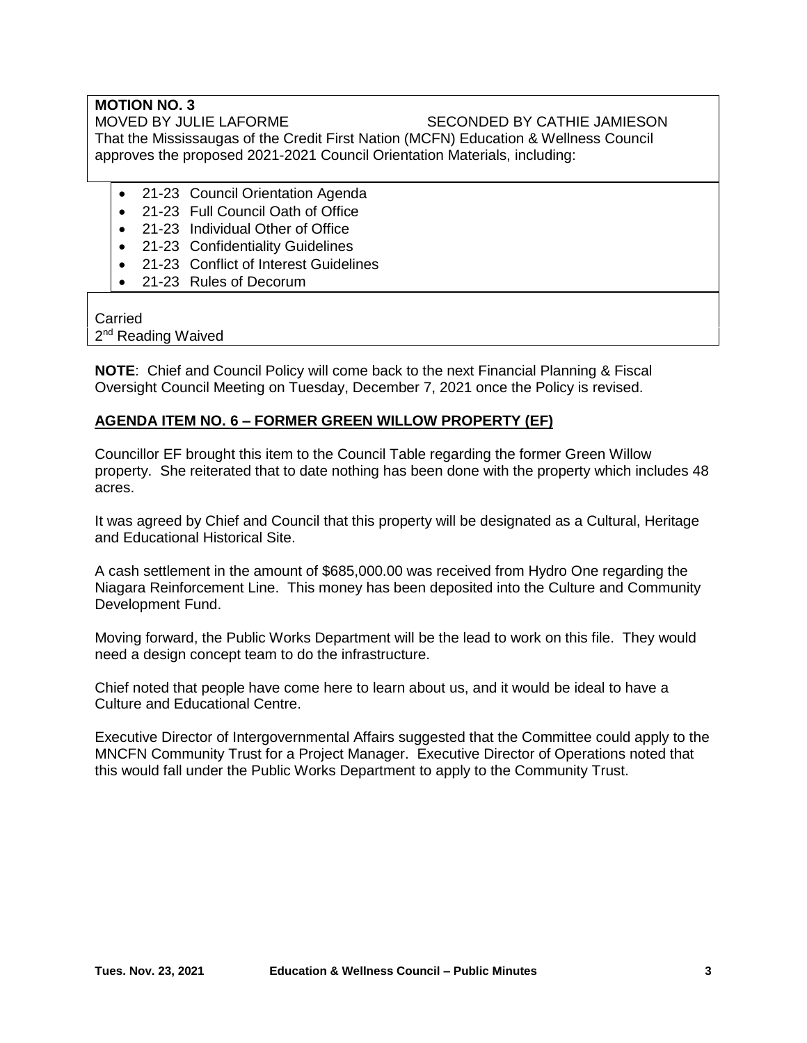## **MOTION NO. 3** MOVED BY JULIE LAFORME SECONDED BY CATHIE JAMIESON

That the Mississaugas of the Credit First Nation (MCFN) Education & Wellness Council approves the proposed 2021-2021 Council Orientation Materials, including:

- 21-23 Council Orientation Agenda
- 21-23 Full Council Oath of Office
- 21-23 Individual Other of Office
- 21-23 Confidentiality Guidelines
- 21-23 Conflict of Interest Guidelines
- 21-23 Rules of Decorum

#### **Carried** 2<sup>nd</sup> Reading Waived

**NOTE**: Chief and Council Policy will come back to the next Financial Planning & Fiscal Oversight Council Meeting on Tuesday, December 7, 2021 once the Policy is revised.

## **AGENDA ITEM NO. 6 – FORMER GREEN WILLOW PROPERTY (EF)**

Councillor EF brought this item to the Council Table regarding the former Green Willow property. She reiterated that to date nothing has been done with the property which includes 48 acres.

It was agreed by Chief and Council that this property will be designated as a Cultural, Heritage and Educational Historical Site.

A cash settlement in the amount of \$685,000.00 was received from Hydro One regarding the Niagara Reinforcement Line. This money has been deposited into the Culture and Community Development Fund.

Moving forward, the Public Works Department will be the lead to work on this file. They would need a design concept team to do the infrastructure.

Chief noted that people have come here to learn about us, and it would be ideal to have a Culture and Educational Centre.

Executive Director of Intergovernmental Affairs suggested that the Committee could apply to the MNCFN Community Trust for a Project Manager. Executive Director of Operations noted that this would fall under the Public Works Department to apply to the Community Trust.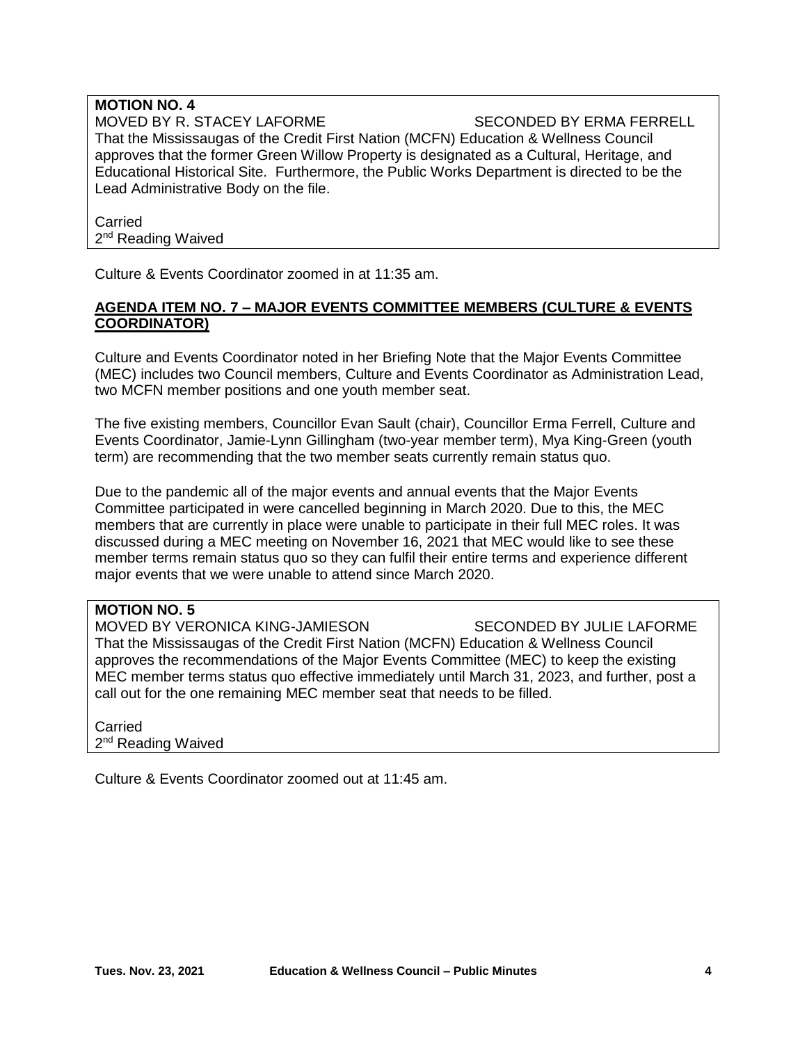#### **MOTION NO. 4** MOVED BY R. STACEY LAFORME SECONDED BY ERMA FERRELL That the Mississaugas of the Credit First Nation (MCFN) Education & Wellness Council approves that the former Green Willow Property is designated as a Cultural, Heritage, and Educational Historical Site. Furthermore, the Public Works Department is directed to be the Lead Administrative Body on the file.

Carried 2<sup>nd</sup> Reading Waived

Culture & Events Coordinator zoomed in at 11:35 am.

#### **AGENDA ITEM NO. 7 – MAJOR EVENTS COMMITTEE MEMBERS (CULTURE & EVENTS COORDINATOR)**

Culture and Events Coordinator noted in her Briefing Note that the Major Events Committee (MEC) includes two Council members, Culture and Events Coordinator as Administration Lead, two MCFN member positions and one youth member seat.

The five existing members, Councillor Evan Sault (chair), Councillor Erma Ferrell, Culture and Events Coordinator, Jamie-Lynn Gillingham (two-year member term), Mya King-Green (youth term) are recommending that the two member seats currently remain status quo.

Due to the pandemic all of the major events and annual events that the Major Events Committee participated in were cancelled beginning in March 2020. Due to this, the MEC members that are currently in place were unable to participate in their full MEC roles. It was discussed during a MEC meeting on November 16, 2021 that MEC would like to see these member terms remain status quo so they can fulfil their entire terms and experience different major events that we were unable to attend since March 2020.

## **MOTION NO. 5**

MOVED BY VERONICA KING-JAMIESON SECONDED BY JULIE LAFORME That the Mississaugas of the Credit First Nation (MCFN) Education & Wellness Council approves the recommendations of the Major Events Committee (MEC) to keep the existing MEC member terms status quo effective immediately until March 31, 2023, and further, post a call out for the one remaining MEC member seat that needs to be filled.

**Carried** 2<sup>nd</sup> Reading Waived

Culture & Events Coordinator zoomed out at 11:45 am.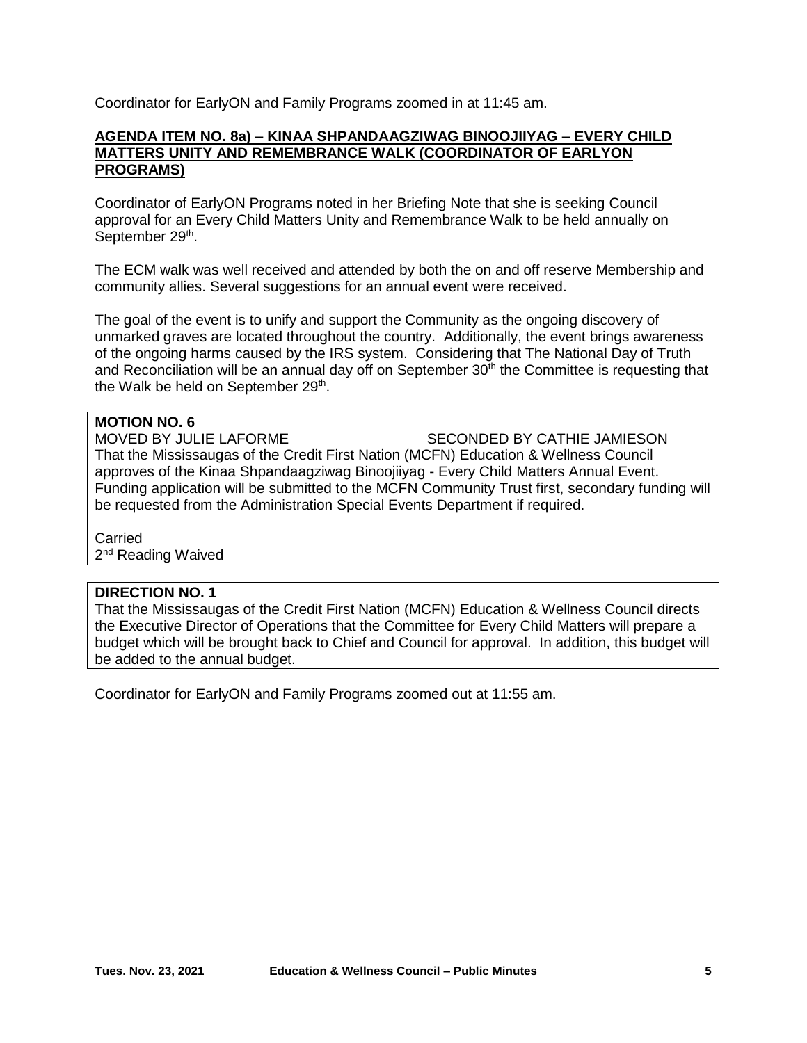Coordinator for EarlyON and Family Programs zoomed in at 11:45 am.

#### **AGENDA ITEM NO. 8a) – KINAA SHPANDAAGZIWAG BINOOJIIYAG – EVERY CHILD MATTERS UNITY AND REMEMBRANCE WALK (COORDINATOR OF EARLYON PROGRAMS)**

Coordinator of EarlyON Programs noted in her Briefing Note that she is seeking Council approval for an Every Child Matters Unity and Remembrance Walk to be held annually on September 29<sup>th</sup>.

The ECM walk was well received and attended by both the on and off reserve Membership and community allies. Several suggestions for an annual event were received.

The goal of the event is to unify and support the Community as the ongoing discovery of unmarked graves are located throughout the country. Additionally, the event brings awareness of the ongoing harms caused by the IRS system. Considering that The National Day of Truth and Reconciliation will be an annual day off on September  $30<sup>th</sup>$  the Committee is requesting that the Walk be held on September 29<sup>th</sup>.

#### **MOTION NO. 6**

MOVED BY JULIE LAFORME SECONDED BY CATHIE JAMIESON That the Mississaugas of the Credit First Nation (MCFN) Education & Wellness Council approves of the Kinaa Shpandaagziwag Binoojiiyag - Every Child Matters Annual Event. Funding application will be submitted to the MCFN Community Trust first, secondary funding will be requested from the Administration Special Events Department if required.

**Carried** 2<sup>nd</sup> Reading Waived

#### **DIRECTION NO. 1**

That the Mississaugas of the Credit First Nation (MCFN) Education & Wellness Council directs the Executive Director of Operations that the Committee for Every Child Matters will prepare a budget which will be brought back to Chief and Council for approval. In addition, this budget will be added to the annual budget.

Coordinator for EarlyON and Family Programs zoomed out at 11:55 am.